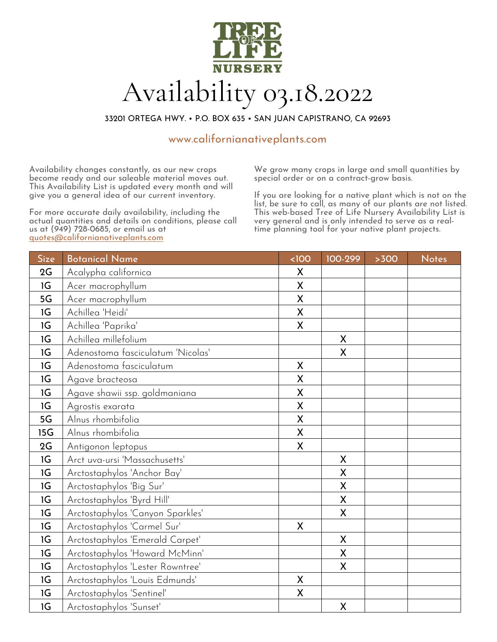

33201 ORTEGA HWY. • P.O. BOX 635 • SAN JUAN CAPISTRANO, CA 92693

# www.californianativeplants.com

Availability changes constantly, as our new crops become ready and our saleable material moves out. This Availability List is updated every month and will give you a general idea of our current inventory.

For more accurate daily availability, including the actual quantities and details on conditions, please call us at (949) 728-0685, or email us at quotes@californianativeplants.com

We grow many crops in large and small quantities by special order or on a contract-grow basis.

If you are looking for a native plant which is not on the list, be sure to call, as many of our plants are not listed. This web-based Tree of Life Nursery Availability List is very general and is only intended to serve as a real- time planning tool for your native plant projects.

| Size | <b>Botanical Name</b>             | <100         | 100-299      | >300 | <b>Notes</b> |
|------|-----------------------------------|--------------|--------------|------|--------------|
| 2G   | Acalypha californica              | X            |              |      |              |
| 1G   | Acer macrophyllum                 | X            |              |      |              |
| 5G   | Acer macrophyllum                 | X            |              |      |              |
| 1G   | Achillea 'Heidi'                  | X            |              |      |              |
| 1G   | Achillea 'Paprika'                | X            |              |      |              |
| 1G   | Achillea millefolium              |              | X            |      |              |
| 1G   | Adenostoma fasciculatum 'Nicolas' |              | X            |      |              |
| 1G   | Adenostoma fasciculatum           | X            |              |      |              |
| 1G   | Agave bracteosa                   | $\mathsf{X}$ |              |      |              |
| 1G   | Agave shawii ssp. goldmaniana     | X            |              |      |              |
| 1G   | Agrostis exarata                  | X            |              |      |              |
| 5G   | Alnus rhombifolia                 | X            |              |      |              |
| 15G  | Alnus rhombifolia                 | X            |              |      |              |
| 2G   | Antigonon leptopus                | $\mathsf{X}$ |              |      |              |
| 1G   | Arct uva-ursi 'Massachusetts'     |              | X            |      |              |
| 1G   | Arctostaphylos 'Anchor Bay'       |              | X            |      |              |
| 1G   | Arctostaphylos 'Big Sur'          |              | X            |      |              |
| 1G   | Arctostaphylos 'Byrd Hill'        |              | X            |      |              |
| 1G   | Arctostaphylos 'Canyon Sparkles'  |              | X            |      |              |
| 1G   | Arctostaphylos 'Carmel Sur'       | X            |              |      |              |
| 1G   | Arctostaphylos 'Emerald Carpet'   |              | $\mathsf{X}$ |      |              |
| 1G   | Arctostaphylos 'Howard McMinn'    |              | X            |      |              |
| 1G   | Arctostaphylos 'Lester Rowntree'  |              | X            |      |              |
| 1G   | Arctostaphylos 'Louis Edmunds'    | X            |              |      |              |
| 1G   | Arctostaphylos 'Sentinel'         | $\mathsf{X}$ |              |      |              |
| 1G   | Arctostaphylos 'Sunset'           |              | X            |      |              |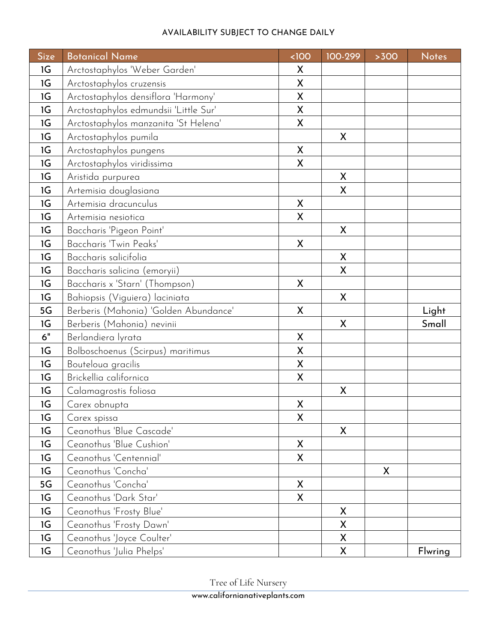| <b>Size</b> | <b>Botanical Name</b>                 | <100         | 100-299 | >300 | <b>Notes</b> |
|-------------|---------------------------------------|--------------|---------|------|--------------|
| 1G          | Arctostaphylos 'Weber Garden'         | X            |         |      |              |
| 1G          | Arctostaphylos cruzensis              | $\mathsf{X}$ |         |      |              |
| 1G          | Arctostaphylos densiflora 'Harmony'   | X            |         |      |              |
| 1G          | Arctostaphylos edmundsii 'Little Sur' | X            |         |      |              |
| 1G          | Arctostaphylos manzanita 'St Helena'  | $\mathsf{X}$ |         |      |              |
| 1G          | Arctostaphylos pumila                 |              | X       |      |              |
| 1G          | Arctostaphylos pungens                | X            |         |      |              |
| 1G          | Arctostaphylos viridissima            | X            |         |      |              |
| 1G          | Aristida purpurea                     |              | X       |      |              |
| 1G          | Artemisia douglasiana                 |              | X       |      |              |
| 1G          | Artemisia dracunculus                 | $\mathsf{X}$ |         |      |              |
| 1G          | Artemisia nesiotica                   | X            |         |      |              |
| 1G          | Baccharis 'Pigeon Point'              |              | X       |      |              |
| 1G          | Baccharis 'Twin Peaks'                | X            |         |      |              |
| 1G          | Baccharis salicifolia                 |              | X       |      |              |
| 1G          | Baccharis salicina (emoryii)          |              | X       |      |              |
| 1G          | Baccharis x 'Starn' (Thompson)        | X            |         |      |              |
| 1G          | Bahiopsis (Viguiera) laciniata        |              | X       |      |              |
| 5G          | Berberis (Mahonia) 'Golden Abundance' | X            |         |      | Light        |
| 1G          | Berberis (Mahonia) nevinii            |              | X       |      | Small        |
| 6"          | Berlandiera lyrata                    | X            |         |      |              |
| 1G          | Bolboschoenus (Scirpus) maritimus     | X            |         |      |              |
| 1G          | Bouteloua gracilis                    | $\mathsf{X}$ |         |      |              |
| 1G          | Brickellia californica                | X            |         |      |              |
| 1G          | Calamagrostis foliosa                 |              | X       |      |              |
| 1G          | Carex obnupta                         | X            |         |      |              |
| 1G          | Carex spissa                          | X            |         |      |              |
| 1G          | Ceanothus 'Blue Cascade'              |              | X       |      |              |
| 1G          | Ceanothus 'Blue Cushion'              | X            |         |      |              |
| 1G          | Ceanothus 'Centennial'                | X            |         |      |              |
| 1G          | Ceanothus 'Concha'                    |              |         | X    |              |
| 5G          | Ceanothus 'Concha'                    | X            |         |      |              |
| 1G          | Ceanothus 'Dark Star'                 | X            |         |      |              |
| 1G          | Ceanothus 'Frosty Blue'               |              | X       |      |              |
| 1G          | Ceanothus 'Frosty Dawn'               |              | X       |      |              |
| 1G          | Ceanothus 'Joyce Coulter'             |              | X       |      |              |
| 1G          | Ceanothus 'Julia Phelps'              |              | X       |      | Flwring      |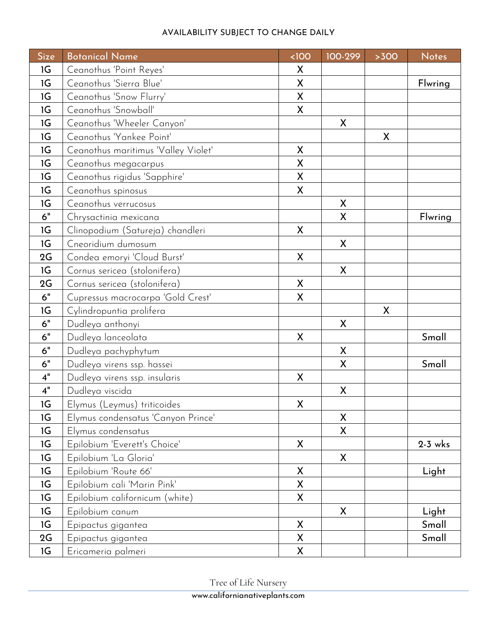| <b>Size</b> | <b>Botanical Name</b>               | <100         | 100-299 | >300 | <b>Notes</b> |
|-------------|-------------------------------------|--------------|---------|------|--------------|
| 1G          | Ceanothus 'Point Reyes'             | X            |         |      |              |
| 1G          | Ceanothus 'Sierra Blue'             | X            |         |      | Flwring      |
| 1G          | Ceanothus 'Snow Flurry'             | X            |         |      |              |
| 1G          | Ceanothus 'Snowball'                | X            |         |      |              |
| 1G          | Ceanothus 'Wheeler Canyon'          |              | X       |      |              |
| 1G          | Ceanothus 'Yankee Point'            |              |         | X    |              |
| 1G          | Ceanothus maritimus 'Valley Violet' | $\mathsf{X}$ |         |      |              |
| 1G          | Ceanothus megacarpus                | X            |         |      |              |
| 1G          | Ceanothus rigidus 'Sapphire'        | X            |         |      |              |
| 1G          | Ceanothus spinosus                  | X            |         |      |              |
| 1G          | Ceanothus verrucosus                |              | X       |      |              |
| 6"          | Chrysactinia mexicana               |              | X       |      | Flwring      |
| 1G          | Clinopodium (Satureja) chandleri    | X            |         |      |              |
| 1G          | Cneoridium dumosum                  |              | X       |      |              |
| 2G          | Condea emoryi 'Cloud Burst'         | $\mathsf{X}$ |         |      |              |
| 1G          | Cornus sericea (stolonifera)        |              | X       |      |              |
| 2G          | Cornus sericea (stolonifera)        | X            |         |      |              |
| $6"$        | Cupressus macrocarpa 'Gold Crest'   | X            |         |      |              |
| 1G          | Cylindropuntia prolifera            |              |         | X    |              |
| 6"          | Dudleya anthonyi                    |              | X       |      |              |
| 6"          | Dudleya lanceolata                  | X            |         |      | Small        |
| 6"          | Dudleya pachyphytum                 |              | X       |      |              |
| 6"          | Dudleya virens ssp. hassei          |              | X       |      | Small        |
| 4"          | Dudleya virens ssp. insularis       | X            |         |      |              |
| 4"          | Dudleya viscida                     |              | X       |      |              |
| 1G          | Elymus (Leymus) triticoides         | X            |         |      |              |
| 1G          | Elymus condensatus 'Canyon Prince'  |              | X       |      |              |
| 1G          | Elymus condensatus                  |              | X       |      |              |
| 1G          | Epilobium 'Everett's Choice'        | X            |         |      | $2-3$ wks    |
| 1G          | Epilobium 'La Gloria'               |              | X       |      |              |
| 1G          | Epilobium 'Route 66'                | $\mathsf{X}$ |         |      | Light        |
| 1G          | Epilobium cali 'Marin Pink'         | X            |         |      |              |
| 1G          | Epilobium californicum (white)      | X            |         |      |              |
| 1G          | Epilobium canum                     |              | X       |      | Light        |
| 1G          | Epipactus gigantea                  | $\mathsf{X}$ |         |      | Small        |
| 2G          | Epipactus gigantea                  | X            |         |      | Small        |
| 1G          | Ericameria palmeri                  | X            |         |      |              |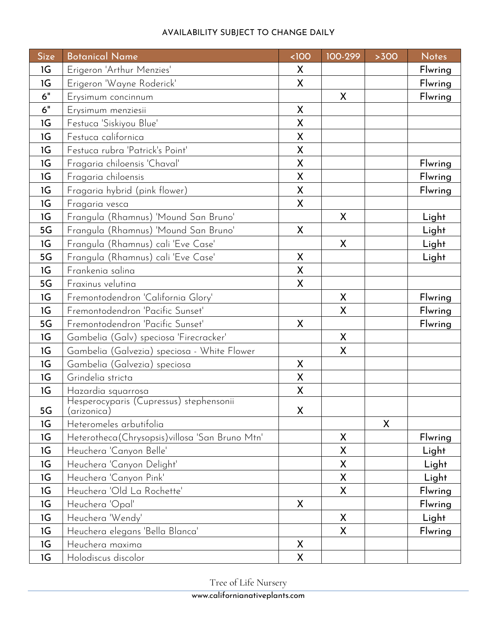| <b>Size</b> | <b>Botanical Name</b>                                  | <100         | 100-299            | >300               | <b>Notes</b> |
|-------------|--------------------------------------------------------|--------------|--------------------|--------------------|--------------|
| 1G          | Erigeron 'Arthur Menzies'                              | X            |                    |                    | Flwring      |
| 1G          | Erigeron 'Wayne Roderick'                              | X            |                    |                    | Flwring      |
| 6"          | Erysimum concinnum                                     |              | X                  |                    | Flwring      |
| 6"          | Erysimum menziesii                                     | X            |                    |                    |              |
| 1G          | Festuca 'Siskiyou Blue'                                | X            |                    |                    |              |
| 1G          | Festuca californica                                    | X            |                    |                    |              |
| 1G          | Festuca rubra 'Patrick's Point'                        | $\mathsf{X}$ |                    |                    |              |
| 1G          | Fragaria chiloensis 'Chaval'                           | X            |                    |                    | Flwring      |
| 1G          | Fragaria chiloensis                                    | X            |                    |                    | Flwring      |
| 1G          | Fragaria hybrid (pink flower)                          | X            |                    |                    | Flwring      |
| 1G          | Fragaria vesca                                         | X            |                    |                    |              |
| 1G          | Frangula (Rhamnus) 'Mound San Bruno'                   |              | X                  |                    | Light        |
| 5G          | Frangula (Rhamnus) 'Mound San Bruno'                   | X            |                    |                    | Light        |
| 1G          | Frangula (Rhamnus) cali 'Eve Case'                     |              | X                  |                    | Light        |
| 5G          | Frangula (Rhamnus) cali 'Eve Case'                     | $\mathsf{X}$ |                    |                    | Light        |
| 1G          | Frankenia salina                                       | X            |                    |                    |              |
| 5G          | Fraxinus velutina                                      | X            |                    |                    |              |
| 1G          | Fremontodendron 'California Glory'                     |              | X                  |                    | Flwring      |
| 1G          | Fremontodendron 'Pacific Sunset'                       |              | X                  |                    | Flwring      |
| 5G          | Fremontodendron 'Pacific Sunset'                       | $\mathsf{X}$ |                    |                    | Flwring      |
| 1G          | Gambelia (Galv) speciosa 'Firecracker'                 |              | X                  |                    |              |
| 1G          | Gambelia (Galvezia) speciosa - White Flower            |              | X                  |                    |              |
| 1G          | Gambelia (Galvezia) speciosa                           | $\mathsf{X}$ |                    |                    |              |
| 1G          | Grindelia stricta                                      | X            |                    |                    |              |
| 1G          | Hazardia squarrosa                                     | X            |                    |                    |              |
| 5G          | Hesperocyparis (Cupressus) stephensonii<br>(arizonica) | Χ            |                    |                    |              |
| 1G          | Heteromeles arbutifolia                                |              |                    | $\pmb{\mathsf{X}}$ |              |
| 1G          | Heterotheca(Chrysopsis) villosa 'San Bruno Mtn'        |              | X                  |                    | Flwring      |
| 1G          | Heuchera 'Canyon Belle'                                |              | X                  |                    | Light        |
| 1G          | Heuchera 'Canyon Delight'                              |              | X                  |                    | Light        |
| 1G          | Heuchera 'Canyon Pink'                                 |              | $\pmb{\mathsf{X}}$ |                    | Light        |
| 1G          | Heuchera 'Old La Rochette'                             |              | X                  |                    | Flwring      |
| 1G          | Heuchera 'Opal'                                        | X            |                    |                    | Flwring      |
| 1G          | Heuchera 'Wendy'                                       |              | X                  |                    | Light        |
| 1G          | Heuchera elegans 'Bella Blanca'                        |              | X                  |                    | Flwring      |
| 1G          | Heuchera maxima                                        | X            |                    |                    |              |
| 1G          | Holodiscus discolor                                    | X            |                    |                    |              |

Tree of Life Nursery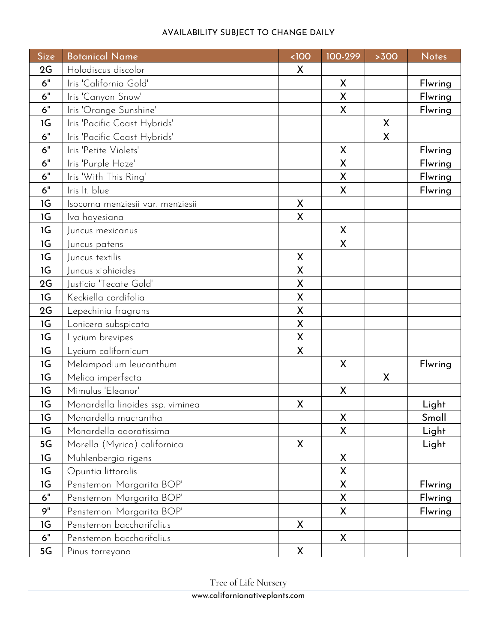| <b>Size</b> | <b>Botanical Name</b>            | $100$        | 100-299            | >300         | <b>Notes</b> |
|-------------|----------------------------------|--------------|--------------------|--------------|--------------|
| 2G          | Holodiscus discolor              | X            |                    |              |              |
| 6"          | Iris 'California Gold'           |              | X                  |              | Flwring      |
| 6"          | Iris 'Canyon Snow'               |              | $\sf X$            |              | Flwring      |
| 6"          | Iris 'Orange Sunshine'           |              | X                  |              | Flwring      |
| 1G          | Iris 'Pacific Coast Hybrids'     |              |                    | X            |              |
| 6"          | Iris 'Pacific Coast Hybrids'     |              |                    | $\mathsf{X}$ |              |
| 6"          | Iris 'Petite Violets'            |              | X                  |              | Flwring      |
| 6"          | Iris 'Purple Haze'               |              | X                  |              | Flwring      |
| 6"          | Iris 'With This Ring'            |              | X                  |              | Flwring      |
| 6"          | Iris It. blue                    |              | $\pmb{\mathsf{X}}$ |              | Flwring      |
| 1G          | Isocoma menziesii var. menziesii | X            |                    |              |              |
| 1G          | Iva hayesiana                    | X            |                    |              |              |
| 1G          | Juncus mexicanus                 |              | X                  |              |              |
| 1G          | Juncus patens                    |              | X                  |              |              |
| 1G          | Juncus textilis                  | X            |                    |              |              |
| 1G          | Juncus xiphioides                | X            |                    |              |              |
| 2G          | Justicia 'Tecate Gold'           | X            |                    |              |              |
| 1G          | Keckiella cordifolia             | X            |                    |              |              |
| 2G          | Lepechinia fragrans              | X            |                    |              |              |
| 1G          | Lonicera subspicata              | X            |                    |              |              |
| 1G          | Lycium brevipes                  | $\mathsf{X}$ |                    |              |              |
| 1G          | Lycium californicum              | X            |                    |              |              |
| 1G          | Melampodium leucanthum           |              | X                  |              | Flwring      |
| 1G          | Melica imperfecta                |              |                    | X            |              |
| 1G          | Mimulus 'Eleanor'                |              | X                  |              |              |
| 1G          | Monardella linoides ssp. viminea | X            |                    |              | Light        |
| 1G          | Monardella macrantha             |              | $\sf X$            |              | Small        |
| 1G          | Monardella odoratissima          |              | X                  |              | Light        |
| 5G          | Morella (Myrica) californica     | X            |                    |              | Light        |
| 1G          | Muhlenbergia rigens              |              | X                  |              |              |
| 1G          | Opuntia littoralis               |              | X                  |              |              |
| 1G          | Penstemon 'Margarita BOP'        |              | X                  |              | Flwring      |
| $6"$        | Penstemon 'Margarita BOP'        |              | X                  |              | Flwring      |
| 9"          | Penstemon 'Margarita BOP'        |              | X                  |              | Flwring      |
| 1G          | Penstemon baccharifolius         | X            |                    |              |              |
| 6"          | Penstemon baccharifolius         |              | X                  |              |              |
| 5G          | Pinus torreyana                  | X            |                    |              |              |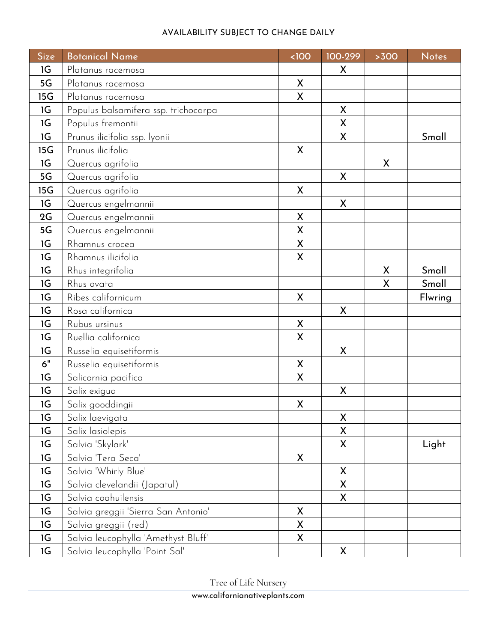| <b>Size</b> | <b>Botanical Name</b>                | <100         | 100-299      | >300 | <b>Notes</b> |
|-------------|--------------------------------------|--------------|--------------|------|--------------|
| 1G          | Platanus racemosa                    |              | X            |      |              |
| 5G          | Platanus racemosa                    | X            |              |      |              |
| 15G         | Platanus racemosa                    | X            |              |      |              |
| 1G          | Populus balsamifera ssp. trichocarpa |              | X            |      |              |
| 1G          | Populus fremontii                    |              | X            |      |              |
| 1G          | Prunus ilicifolia ssp. lyonii        |              | X            |      | Small        |
| 15G         | Prunus ilicifolia                    | $\mathsf{X}$ |              |      |              |
| 1G          | Quercus agrifolia                    |              |              | X    |              |
| 5G          | Quercus agrifolia                    |              | X            |      |              |
| 15G         | Quercus agrifolia                    | X            |              |      |              |
| 1G          | Quercus engelmannii                  |              | X            |      |              |
| 2G          | Quercus engelmannii                  | X            |              |      |              |
| 5G          | Quercus engelmannii                  | X            |              |      |              |
| 1G          | Rhamnus crocea                       | X            |              |      |              |
| 1G          | Rhamnus ilicifolia                   | $\mathsf{X}$ |              |      |              |
| 1G          | Rhus integrifolia                    |              |              | X    | Small        |
| 1G          | Rhus ovata                           |              |              | X    | Small        |
| 1G          | Ribes californicum                   | X            |              |      | Flwring      |
| 1G          | Rosa californica                     |              | X            |      |              |
| 1G          | Rubus ursinus                        | X            |              |      |              |
| 1G          | Ruellia californica                  | X            |              |      |              |
| 1G          | Russelia equisetiformis              |              | X            |      |              |
| 6"          | Russelia equisetiformis              | $\mathsf{X}$ |              |      |              |
| 1G          | Salicornia pacifica                  | X            |              |      |              |
| 1G          | Salix exigua                         |              | X            |      |              |
| 1G          | Salix gooddingii                     | X            |              |      |              |
| 1G          | Salix laevigata                      |              | X            |      |              |
| 1G          | Salix lasiolepis                     |              | X            |      |              |
| 1G          | Salvia 'Skylark'                     |              | X            |      | Light        |
| 1G          | Salvia 'Tera Seca'                   | X            |              |      |              |
| 1G          | Salvia 'Whirly Blue'                 |              | $\mathsf{X}$ |      |              |
| 1G          | Salvia clevelandii (Japatul)         |              | X            |      |              |
| 1G          | Salvia coahuilensis                  |              | X            |      |              |
| 1G          | Salvia greggii 'Sierra San Antonio'  | X            |              |      |              |
| 1G          | Salvia greggii (red)                 | X            |              |      |              |
| 1G          | Salvia leucophylla 'Amethyst Bluff'  | X            |              |      |              |
| 1G          | Salvia leucophylla 'Point Sal'       |              | X            |      |              |